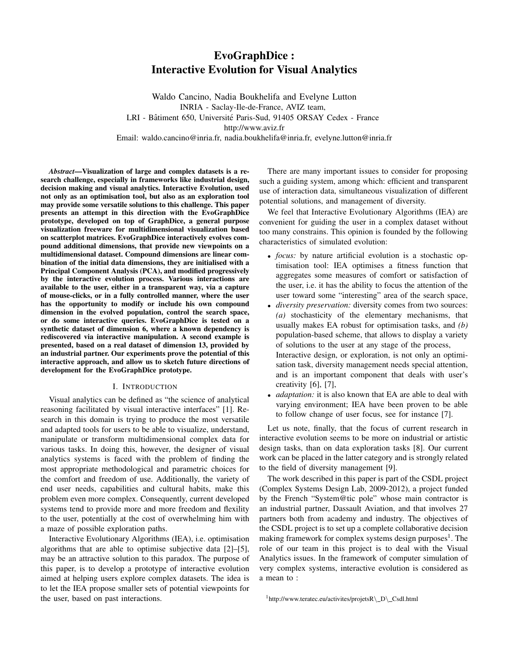# EvoGraphDice : Interactive Evolution for Visual Analytics

Waldo Cancino, Nadia Boukhelifa and Evelyne Lutton INRIA - Saclay-Ile-de-France, AVIZ team, LRI - Bâtiment 650, Université Paris-Sud, 91405 ORSAY Cedex - France http://www.aviz.fr Email: waldo.cancino@inria.fr, nadia.boukhelifa@inria.fr, evelyne.lutton@inria.fr

*Abstract*—Visualization of large and complex datasets is a research challenge, especially in frameworks like industrial design, decision making and visual analytics. Interactive Evolution, used not only as an optimisation tool, but also as an exploration tool may provide some versatile solutions to this challenge. This paper presents an attempt in this direction with the EvoGraphDice prototype, developed on top of GraphDice, a general purpose visualization freeware for multidimensional visualization based on scatterplot matrices. EvoGraphDice interactively evolves compound additional dimensions, that provide new viewpoints on a multidimensional dataset. Compound dimensions are linear combination of the initial data dimensions, they are initialised with a Principal Component Analysis (PCA), and modified progressively by the interactive evolution process. Various interactions are available to the user, either in a transparent way, via a capture of mouse-clicks, or in a fully controlled manner, where the user has the opportunity to modify or include his own compound dimension in the evolved population, control the search space, or do some interactive queries. EvoGraphDice is tested on a synthetic dataset of dimension 6, where a known dependency is rediscovered via interactive manipulation. A second example is presented, based on a real dataset of dimension 13, provided by an industrial partner. Our experiments prove the potential of this interactive approach, and allow us to sketch future directions of development for the EvoGraphDice prototype.

#### I. INTRODUCTION

Visual analytics can be defined as "the science of analytical reasoning facilitated by visual interactive interfaces" [1]. Research in this domain is trying to produce the most versatile and adapted tools for users to be able to visualize, understand, manipulate or transform multidimensional complex data for various tasks. In doing this, however, the designer of visual analytics systems is faced with the problem of finding the most appropriate methodological and parametric choices for the comfort and freedom of use. Additionally, the variety of end user needs, capabilities and cultural habits, make this problem even more complex. Consequently, current developed systems tend to provide more and more freedom and flexility to the user, potentially at the cost of overwhelming him with a maze of possible exploration paths.

Interactive Evolutionary Algorithms (IEA), i.e. optimisation algorithms that are able to optimise subjective data [2]–[5], may be an attractive solution to this paradox. The purpose of this paper, is to develop a prototype of interactive evolution aimed at helping users explore complex datasets. The idea is to let the IEA propose smaller sets of potential viewpoints for the user, based on past interactions.

There are many important issues to consider for proposing such a guiding system, among which: efficient and transparent use of interaction data, simultaneous visualization of different potential solutions, and management of diversity.

We feel that Interactive Evolutionary Algorithms (IEA) are convenient for guiding the user in a complex dataset without too many constrains. This opinion is founded by the following characteristics of simulated evolution:

- *focus:* by nature artificial evolution is a stochastic optimisation tool: IEA optimises a fitness function that aggregates some measures of comfort or satisfaction of the user, i.e. it has the ability to focus the attention of the user toward some "interesting" area of the search space,
- *diversity preservation:* diversity comes from two sources: *(a)* stochasticity of the elementary mechanisms, that usually makes EA robust for optimisation tasks, and *(b)* population-based scheme, that allows to display a variety of solutions to the user at any stage of the process, Interactive design, or exploration, is not only an optimisation task, diversity management needs special attention, and is an important component that deals with user's creativity [6], [7],
- *adaptation:* it is also known that EA are able to deal with varying environment; IEA have been proven to be able to follow change of user focus, see for instance [7].

Let us note, finally, that the focus of current research in interactive evolution seems to be more on industrial or artistic design tasks, than on data exploration tasks [8]. Our current work can be placed in the latter category and is strongly related to the field of diversity management [9].

The work described in this paper is part of the CSDL project (Complex Systems Design Lab, 2009-2012), a project funded by the French "System@tic pole" whose main contractor is an industrial partner, Dassault Aviation, and that involves 27 partners both from academy and industry. The objectives of the CSDL project is to set up a complete collaborative decision making framework for complex systems design purposes<sup>1</sup>. The role of our team in this project is to deal with the Visual Analytics issues. In the framework of computer simulation of very complex systems, interactive evolution is considered as a mean to :

<sup>1</sup>http://www.teratec.eu/activites/projetsR\\_D\\_Csdl.html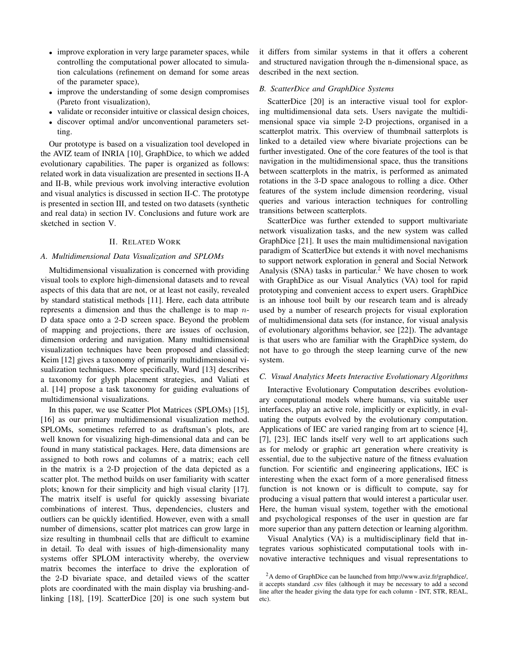- improve exploration in very large parameter spaces, while controlling the computational power allocated to simulation calculations (refinement on demand for some areas of the parameter space),
- improve the understanding of some design compromises (Pareto front visualization),
- validate or reconsider intuitive or classical design choices,
- discover optimal and/or unconventional parameters setting.

Our prototype is based on a visualization tool developed in the AVIZ team of INRIA [10], GraphDice, to which we added evolutionary capabilities. The paper is organized as follows: related work in data visualization are presented in sections II-A and II-B, while previous work involving interactive evolution and visual analytics is discussed in section II-C. The prototype is presented in section III, and tested on two datasets (synthetic and real data) in section IV. Conclusions and future work are sketched in section V.

## II. RELATED WORK

# *A. Multidimensional Data Visualization and SPLOMs*

Multidimensional visualization is concerned with providing visual tools to explore high-dimensional datasets and to reveal aspects of this data that are not, or at least not easily, revealed by standard statistical methods [11]. Here, each data attribute represents a dimension and thus the challenge is to map  $n-$ D data space onto a 2-D screen space. Beyond the problem of mapping and projections, there are issues of occlusion, dimension ordering and navigation. Many multidimensional visualization techniques have been proposed and classified; Keim [12] gives a taxonomy of primarily multidimensional visualization techniques. More specifically, Ward [13] describes a taxonomy for glyph placement strategies, and Valiati et al. [14] propose a task taxonomy for guiding evaluations of multidimensional visualizations.

In this paper, we use Scatter Plot Matrices (SPLOMs) [15], [16] as our primary multidimensional visualization method. SPLOMs, sometimes referred to as draftsman's plots, are well known for visualizing high-dimensional data and can be found in many statistical packages. Here, data dimensions are assigned to both rows and columns of a matrix; each cell in the matrix is a 2-D projection of the data depicted as a scatter plot. The method builds on user familiarity with scatter plots; known for their simplicity and high visual clarity [17]. The matrix itself is useful for quickly assessing bivariate combinations of interest. Thus, dependencies, clusters and outliers can be quickly identified. However, even with a small number of dimensions, scatter plot matrices can grow large in size resulting in thumbnail cells that are difficult to examine in detail. To deal with issues of high-dimensionality many systems offer SPLOM interactivity whereby, the overview matrix becomes the interface to drive the exploration of the 2-D bivariate space, and detailed views of the scatter plots are coordinated with the main display via brushing-andlinking [18], [19]. ScatterDice [20] is one such system but it differs from similar systems in that it offers a coherent and structured navigation through the n-dimensional space, as described in the next section.

## *B. ScatterDice and GraphDice Systems*

ScatterDice [20] is an interactive visual tool for exploring multidimensional data sets. Users navigate the multidimensional space via simple 2-D projections, organised in a scatterplot matrix. This overview of thumbnail satterplots is linked to a detailed view where bivariate projections can be further investigated. One of the core features of the tool is that navigation in the multidimensional space, thus the transitions between scatterplots in the matrix, is performed as animated rotations in the 3-D space analogous to rolling a dice. Other features of the system include dimension reordering, visual queries and various interaction techniques for controlling transitions between scatterplots.

ScatterDice was further extended to support multivariate network visualization tasks, and the new system was called GraphDice [21]. It uses the main multidimensional navigation paradigm of ScatterDice but extends it with novel mechanisms to support network exploration in general and Social Network Analysis (SNA) tasks in particular.<sup>2</sup> We have chosen to work with GraphDice as our Visual Analytics (VA) tool for rapid prototyping and convenient access to expert users. GraphDice is an inhouse tool built by our research team and is already used by a number of research projects for visual exploration of multidimensional data sets (for instance, for visual analysis of evolutionary algorithms behavior, see [22]). The advantage is that users who are familiar with the GraphDice system, do not have to go through the steep learning curve of the new system.

#### *C. Visual Analytics Meets Interactive Evolutionary Algorithms*

Interactive Evolutionary Computation describes evolutionary computational models where humans, via suitable user interfaces, play an active role, implicitly or explicitly, in evaluating the outputs evolved by the evolutionary computation. Applications of IEC are varied ranging from art to science [4], [7], [23]. IEC lands itself very well to art applications such as for melody or graphic art generation where creativity is essential, due to the subjective nature of the fitness evaluation function. For scientific and engineering applications, IEC is interesting when the exact form of a more generalised fitness function is not known or is difficult to compute, say for producing a visual pattern that would interest a particular user. Here, the human visual system, together with the emotional and psychological responses of the user in question are far more superior than any pattern detection or learning algorithm.

Visual Analytics (VA) is a multidisciplinary field that integrates various sophisticated computational tools with innovative interactive techniques and visual representations to

<sup>2</sup>A demo of GraphDice can be launched from http://www.aviz.fr/graphdice/, it accepts standard .csv files (although it may be necessary to add a second line after the header giving the data type for each column - INT, STR, REAL, etc).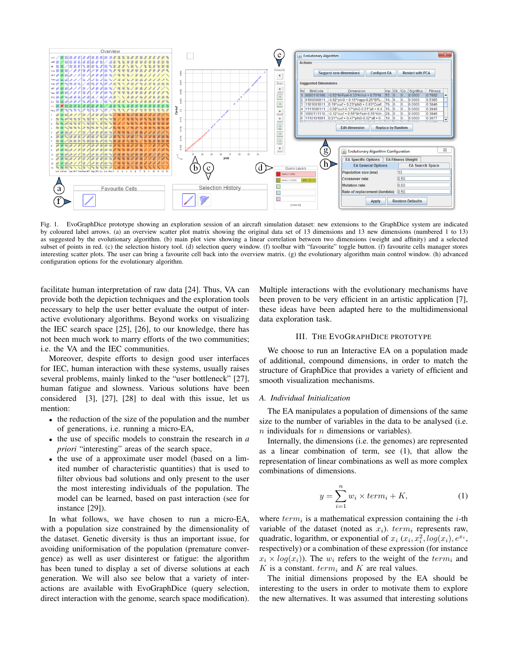

Fig. 1. EvoGraphDice prototype showing an exploration session of an aircraft simulation dataset: new extensions to the GraphDice system are indicated by coloured label arrows. (a) an overview scatter plot matrix showing the original data set of 13 dimensions and 13 new dimensions (numbered 1 to 13) as suggested by the evolutionary algorithm. (b) main plot view showing a linear correlation between two dimensions (weight and affinity) and a selected subset of points in red. (c) the selection history tool. (d) selection query window. (f) toolbar with "favourite" toggle button. (f) favourite cells manager stores interesting scatter plots. The user can bring a favourite cell back into the overview matrix. (g) the evolutionary algorithm main control window. (h) advanced configuration options for the evolutionary algorithm.

facilitate human interpretation of raw data [24]. Thus, VA can provide both the depiction techniques and the exploration tools necessary to help the user better evaluate the output of interactive evolutionary algorithms. Beyond works on visualizing the IEC search space [25], [26], to our knowledge, there has not been much work to marry efforts of the two communities; i.e. the VA and the IEC communities.

Moreover, despite efforts to design good user interfaces for IEC, human interaction with these systems, usually raises several problems, mainly linked to the "user bottleneck" [27], human fatigue and slowness. Various solutions have been considered [3], [27], [28] to deal with this issue, let us mention:

- the reduction of the size of the population and the number of generations, i.e. running a micro-EA,
- the use of specific models to constrain the research in *a priori* "interesting" areas of the search space,
- the use of a approximate user model (based on a limited number of characteristic quantities) that is used to filter obvious bad solutions and only present to the user the most interesting individuals of the population. The model can be learned, based on past interaction (see for instance [29]).

In what follows, we have chosen to run a micro-EA, with a population size constrained by the dimensionality of the dataset. Genetic diversity is thus an important issue, for avoiding uniformisation of the population (premature convergence) as well as user disinterest or fatigue: the algorithm has been tuned to display a set of diverse solutions at each generation. We will also see below that a variety of interactions are available with EvoGraphDice (query selection, direct interaction with the genome, search space modification). Multiple interactions with the evolutionary mechanisms have been proven to be very efficient in an artistic application [7], these ideas have been adapted here to the multidimensional data exploration task.

# III. THE EVOGRAPHDICE PROTOTYPE

We choose to run an Interactive EA on a population made of additional, compound dimensions, in order to match the structure of GraphDice that provides a variety of efficient and smooth visualization mechanisms.

# *A. Individual Initialization*

The EA manipulates a population of dimensions of the same size to the number of variables in the data to be analysed (i.e.  $n$  individuals for  $n$  dimensions or variables).

Internally, the dimensions (i.e. the genomes) are represented as a linear combination of term, see (1), that allow the representation of linear combinations as well as more complex combinations of dimensions.

$$
y = \sum_{i=1}^{n} w_i \times term_i + K,\tag{1}
$$

where  $term_i$  is a mathematical expression containing the *i*-th variable of the dataset (noted as  $x_i$ ).  $term_i$  represents raw, quadratic, logarithm, or exponential of  $x_i$   $(x_i, x_i^2, log(x_i), e^{x_i})$ , respectively) or a combination of these expression (for instance  $x_i \times log(x_i)$ ). The  $w_i$  refers to the weight of the  $term_i$  and K is a constant.  $term_i$  and K are real values.

The initial dimensions proposed by the EA should be interesting to the users in order to motivate them to explore the new alternatives. It was assumed that interesting solutions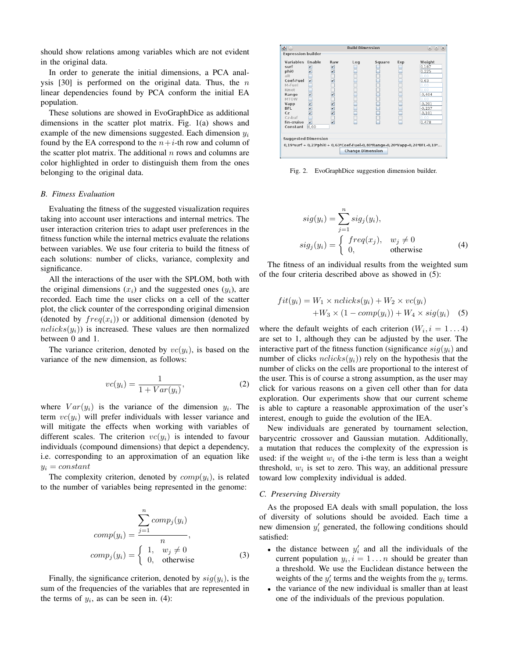should show relations among variables which are not evident in the original data.

In order to generate the initial dimensions, a PCA analysis  $[30]$  is performed on the original data. Thus, the n linear dependencies found by PCA conform the initial EA population.

These solutions are showed in EvoGraphDice as additional dimensions in the scatter plot matrix. Fig. 1(a) shows and example of the new dimensions suggested. Each dimension  $y_i$ found by the EA correspond to the  $n+i$ -th row and column of the scatter plot matrix. The additional  $n$  rows and columns are color highlighted in order to distinguish them from the ones belonging to the original data.

#### *B. Fitness Evaluation*

Evaluating the fitness of the suggested visualization requires taking into account user interactions and internal metrics. The user interaction criterion tries to adapt user preferences in the fitness function while the internal metrics evaluate the relations between variables. We use four criteria to build the fitness of each solutions: number of clicks, variance, complexity and significance.

All the interactions of the user with the SPLOM, both with the original dimensions  $(x_i)$  and the suggested ones  $(y_i)$ , are recorded. Each time the user clicks on a cell of the scatter plot, the click counter of the corresponding original dimension (denoted by  $freq(x_i)$ ) or additional dimension (denoted by  $nclicks(y_i)$  is increased. These values are then normalized between 0 and 1.

The variance criterion, denoted by  $vc(y_i)$ , is based on the variance of the new dimension, as follows:

$$
vc(y_i) = \frac{1}{1 + Var(y_i)},
$$
\n(2)

where  $Var(y_i)$  is the variance of the dimension  $y_i$ . The term  $vc(y_i)$  will prefer individuals with lesser variance and will mitigate the effects when working with variables of different scales. The criterion  $vc(y_i)$  is intended to favour individuals (compound dimensions) that depict a dependency, i.e. corresponding to an approximation of an equation like  $y_i = constant$ 

The complexity criterion, denoted by  $comp(y<sub>i</sub>)$ , is related to the number of variables being represented in the genome:

$$
comp(y_i) = \frac{\sum_{j=1}^{n} comp_j(y_i)}{n},
$$

$$
comp_j(y_i) = \begin{cases} 1, & w_j \neq 0\\ 0, & \text{otherwise} \end{cases}
$$
(3)

Finally, the significance criterion, denoted by  $sig(y_i)$ , is the sum of the frequencies of the variables that are represented in the terms of  $y_i$ , as can be seen in. (4):



Fig. 2. EvoGraphDice suggestion dimension builder.

$$
sig(y_i) = \sum_{j=1}^{n} sig_j(y_i),
$$
  
\n
$$
sig_j(y_i) = \begin{cases} freq(x_j), & w_j \neq 0 \\ 0, & \text{otherwise} \end{cases}
$$
 (4)

The fitness of an individual results from the weighted sum of the four criteria described above as showed in (5):

$$
fit(y_i) = W_1 \times nclicks(y_i) + W_2 \times vc(y_i)
$$

$$
+ W_3 \times (1 - comp(y_i)) + W_4 \times sig(y_i)
$$
 (5)

where the default weights of each criterion  $(W_i, i = 1...4)$ are set to 1, although they can be adjusted by the user. The interactive part of the fitness function (significance  $sig(y<sub>i</sub>)$ ) and number of clicks  $nclicks(y_i)$  rely on the hypothesis that the number of clicks on the cells are proportional to the interest of the user. This is of course a strong assumption, as the user may click for various reasons on a given cell other than for data exploration. Our experiments show that our current scheme is able to capture a reasonable approximation of the user's interest, enough to guide the evolution of the IEA.

New individuals are generated by tournament selection, barycentric crossover and Gaussian mutation. Additionally, a mutation that reduces the complexity of the expression is used: if the weight  $w_i$  of the i-the term is less than a weight threshold,  $w_i$  is set to zero. This way, an additional pressure toward low complexity individual is added.

#### *C. Preserving Diversity*

As the proposed EA deals with small population, the loss of diversity of solutions should be avoided. Each time a new dimension  $y_i'$  generated, the following conditions should satisfied:

- the distance between  $y_i'$  and all the individuals of the current population  $y_i$ ,  $i = 1...n$  should be greater than a threshold. We use the Euclidean distance between the weights of the  $y_i'$  terms and the weights from the  $y_i$  terms.
- the variance of the new individual is smaller than at least one of the individuals of the previous population.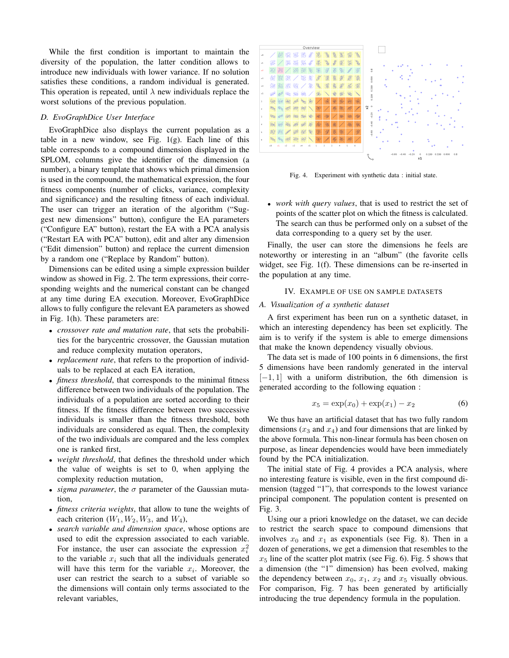While the first condition is important to maintain the diversity of the population, the latter condition allows to introduce new individuals with lower variance. If no solution satisfies these conditions, a random individual is generated. This operation is repeated, until  $\lambda$  new individuals replace the worst solutions of the previous population.

# *D. EvoGraphDice User Interface*

EvoGraphDice also displays the current population as a table in a new window, see Fig.  $1(g)$ . Each line of this table corresponds to a compound dimension displayed in the SPLOM, columns give the identifier of the dimension (a number), a binary template that shows which primal dimension is used in the compound, the mathematical expression, the four fitness components (number of clicks, variance, complexity and significance) and the resulting fitness of each individual. The user can trigger an iteration of the algorithm ("Suggest new dimensions" button), configure the EA parameters ("Configure EA" button), restart the EA with a PCA analysis ("Restart EA with PCA" button), edit and alter any dimension ("Edit dimension" button) and replace the current dimension by a random one ("Replace by Random" button).

Dimensions can be edited using a simple expression builder window as showed in Fig. 2. The term expressions, their corresponding weights and the numerical constant can be changed at any time during EA execution. Moreover, EvoGraphDice allows to fully configure the relevant EA parameters as showed in Fig. 1(h). These parameters are:

- *crossover rate and mutation rate*, that sets the probabilities for the barycentric crossover, the Gaussian mutation and reduce complexity mutation operators,
- *replacement rate*, that refers to the proportion of individuals to be replaced at each EA iteration,
- *fitness threshold*, that corresponds to the minimal fitness difference between two individuals of the population. The individuals of a population are sorted according to their fitness. If the fitness difference between two successive individuals is smaller than the fitness threshold, both individuals are considered as equal. Then, the complexity of the two individuals are compared and the less complex one is ranked first,
- *weight threshold*, that defines the threshold under which the value of weights is set to 0, when applying the complexity reduction mutation,
- *sigma parameter*, the  $\sigma$  parameter of the Gaussian mutation,
- *fitness criteria weights*, that allow to tune the weights of each criterion  $(W_1, W_2, W_3,$  and  $W_4$ ),
- *search variable and dimension space*, whose options are used to edit the expression associated to each variable. For instance, the user can associate the expression  $x_i^2$ to the variable  $x_i$  such that all the individuals generated will have this term for the variable  $x_i$ . Moreover, the user can restrict the search to a subset of variable so the dimensions will contain only terms associated to the relevant variables,



Fig. 4. Experiment with synthetic data : initial state.

• *work with query values*, that is used to restrict the set of points of the scatter plot on which the fitness is calculated. The search can thus be performed only on a subset of the data corresponding to a query set by the user.

Finally, the user can store the dimensions he feels are noteworthy or interesting in an "album" (the favorite cells widget, see Fig. 1(f). These dimensions can be re-inserted in the population at any time.

## IV. EXAMPLE OF USE ON SAMPLE DATASETS

# *A. Visualization of a synthetic dataset*

A first experiment has been run on a synthetic dataset, in which an interesting dependency has been set explicitly. The aim is to verify if the system is able to emerge dimensions that make the known dependency visually obvious.

The data set is made of 100 points in 6 dimensions, the first 5 dimensions have been randomly generated in the interval  $[-1, 1]$  with a uniform distribution, the 6th dimension is generated according to the following equation :

$$
x_5 = \exp(x_0) + \exp(x_1) - x_2 \tag{6}
$$

We thus have an artificial dataset that has two fully random dimensions ( $x_3$  and  $x_4$ ) and four dimensions that are linked by the above formula. This non-linear formula has been chosen on purpose, as linear dependencies would have been immediately found by the PCA initialization.

The initial state of Fig. 4 provides a PCA analysis, where no interesting feature is visible, even in the first compound dimension (tagged "1"), that corresponds to the lowest variance principal component. The population content is presented on Fig. 3.

Using our a priori knowledge on the dataset, we can decide to restrict the search space to compound dimensions that involves  $x_0$  and  $x_1$  as exponentials (see Fig. 8). Then in a dozen of generations, we get a dimension that resembles to the  $x_5$  line of the scatter plot matrix (see Fig. 6). Fig. 5 shows that a dimension (the "1" dimension) has been evolved, making the dependency between  $x_0$ ,  $x_1$ ,  $x_2$  and  $x_5$  visually obvious. For comparison, Fig. 7 has been generated by artificially introducing the true dependency formula in the population.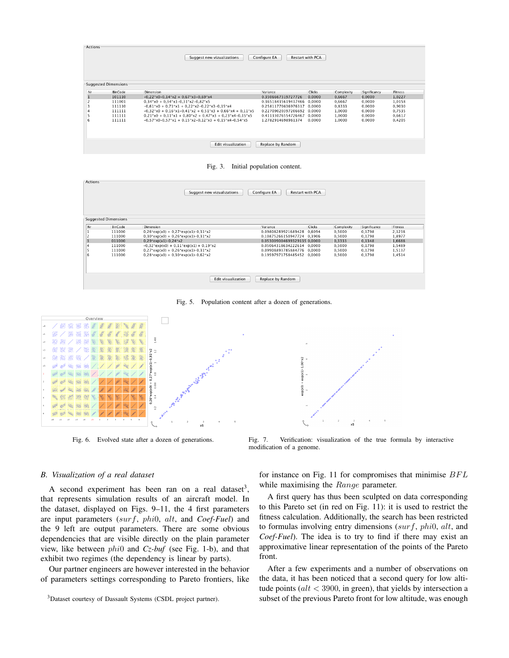|    |                      | Suggest new vizualizations                                   | Configure EA        | <b>Restart with PCA</b> |            |              |                |
|----|----------------------|--------------------------------------------------------------|---------------------|-------------------------|------------|--------------|----------------|
|    | Suggested Dimensions |                                                              |                     |                         |            |              |                |
| Nr | BinCode              | Dimension                                                    | Variance            | <b>Clicks</b>           | Complexity | Significancy | <b>Fitness</b> |
|    | 101110               | $-0.22*x0-0.14*x2 + 0.67*x3-0.69*x4$                         | 0.3506667319727726  | 0.0000                  | 0.6667     | 0.0000       | 1.0227         |
|    | 111001               | $0.34*x0 + 0.34*x1 - 0.31*x2 - 0.82*x5$                      | 0.36518435619417466 | 0.0000                  | 0.6667     | 0.0000       | 1,0158         |
|    | 111110               | $-0.61*x0 + 0.71*x1 + 0.22*x2 - 0.22*x3 - 0.15*x4$           | 0.25811770836976317 | 0.0000                  | 0.8333     | 0.0000       | 0.9030         |
| 4  | 111111               | $-0.32*x0 + 0.16*x1 - 0.41*x2 + 0.51*x3 + 0.66*x4 + 0.11*x5$ | 0.22709020397206692 | 0.0000                  | 1.0000     | 0,0000       | 0.7535         |
|    | 111111               | $0.21*x0 + 0.11*x1 + 0.80*x2 + 0.47*x3 + 0.23*x4 - 0.15*x5$  | 0.41133076554726467 | 0.0000                  | 1,0000     | 0,0000       | 0.6617         |
| 6  | 111111               | $-0.57*x0-0.57*x1 + 0.15*x2-0.12*x3 + 0.15*x4-0.54*x5$       | 1.2782914698981374  | 0.0000                  | 1,0000     | 0,0000       | 0,4205         |
|    |                      |                                                              |                     |                         |            |              |                |

Fig. 3. Initial population content.

|    | Suggested Dimensions |                                                                              |                             |            |              |         |
|----|----------------------|------------------------------------------------------------------------------|-----------------------------|------------|--------------|---------|
| Nr | BinCode              | <b>Dimension</b>                                                             | Clicks<br>Variance          | Complexity | Significancy | Fitness |
|    | 111000               | $0,26*exp(x0) + 0,27*exp(x1)-0,31*x2$                                        | 0.09808289921689428 0.6094  | 0,5000     | 0,1798       | 2.1238  |
|    | 111000               | $0.30$ <sup>*</sup> exp(x0) + 0.26 <sup>*</sup> exp(x1)-0.31 <sup>*</sup> x2 | 0.10875266150947724 0.3906  | 0,5000     | 0,1798       | 1,8977  |
|    | 011000               | $0.29$ *exp(x1)-0.24*x2                                                      | 0.053009004699329135 0.0000 | 0,3333     | 0,1348       | 1,6688  |
|    | 111000               | $-0.32$ *exp(x0) + 0.11*exp(x1) + 0.19*x2                                    | 0.05064318634222614 0.0000  | 0,5000     | 0,1798       | 1,5489  |
|    | 111000               | $0.27$ <sup>*</sup> exp(x0) + 0.26 <sup>*</sup> exp(x1)-0.31 <sup>*</sup> x2 | 0.09908893785884776 0.0000  | 0,5000     | 0,1798       | 1,5137  |
|    | 111000               | $0.28$ <sup>*</sup> exp(x0) + 0.30 <sup>*</sup> exp(x1)-0.62 <sup>*</sup> x2 | 0.19597971758485452 0.0000  | 0,5000     | 0,1798       | 1,4514  |

Fig. 5. Population content after a dozen of generations.





Fig. 6. Evolved state after a dozen of generations. Fig. 7. Verification: visualization of the true formula by interactive modification of a genome.

# *B. Visualization of a real dataset*

A second experiment has been ran on a real dataset<sup>3</sup>, that represents simulation results of an aircraft model. In the dataset, displayed on Figs. 9–11, the 4 first parameters are input parameters (surf, phi0, alt, and *Coef-Fuel*) and the 9 left are output parameters. There are some obvious dependencies that are visible directly on the plain parameter view, like between phi0 and *Cz-buf* (see Fig. 1-b), and that exhibit two regimes (the dependency is linear by parts).

Our partner engineers are however interested in the behavior of parameters settings corresponding to Pareto frontiers, like for instance on Fig. 11 for compromises that minimise  $BFL$ while maximising the Range parameter.

A first query has thus been sculpted on data corresponding to this Pareto set (in red on Fig. 11): it is used to restrict the fitness calculation. Additionally, the search has been restricted to formulas involving entry dimensions  $(surf, phi0, alt, and$ *Coef-Fuel*). The idea is to try to find if there may exist an approximative linear representation of the points of the Pareto front.

After a few experiments and a number of observations on the data, it has been noticed that a second query for low altitude points ( $alt < 3900$ , in green), that yields by intersection a subset of the previous Pareto front for low altitude, was enough

<sup>3</sup>Dataset courtesy of Dassault Systems (CSDL project partner).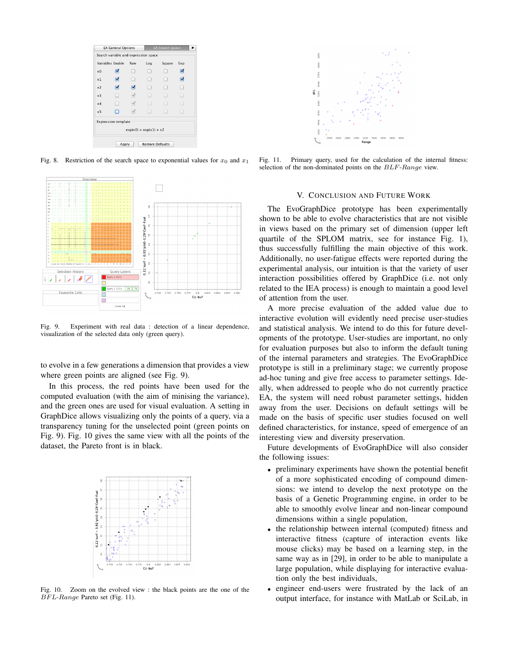| Variables Enable                       | Raw                  | Log                      | Square | Exp |
|----------------------------------------|----------------------|--------------------------|--------|-----|
| ☑<br>x <sub>0</sub>                    | □                    | □                        |        | ☑   |
| $\blacktriangledown$<br>x1             | □                    | □                        | □      | ☑   |
| $\blacktriangledown$<br>x <sub>2</sub> | $\blacktriangledown$ | п                        | □      | □   |
| x3<br>n                                | $\blacktriangledown$ | n                        | n      | ■   |
| $\times 4$<br>m                        | $\triangledown$      | m                        | r      | ۰   |
| x5<br>п                                | $\overline{\vee}$    | ⊓                        | r.     | m   |
| <b>Expression template</b>             |                      |                          |        |     |
|                                        |                      | $exp(x0) + exp(x1) + x2$ |        |     |

Fig. 8. Restriction of the search space to exponential values for  $x_0$  and  $x_1$ 



Experiment with real data : detection of a linear dependence, visualization of the selected data only (green query).

to evolve in a few generations a dimension that provides a view where green points are aligned (see Fig. 9).

In this process, the red points have been used for the computed evaluation (with the aim of minising the variance), and the green ones are used for visual evaluation. A setting in GraphDice allows visualizing only the points of a query, via a transparency tuning for the unselected point (green points on Fig. 9). Fig. 10 gives the same view with all the points of the dataset, the Pareto front is in black.



Fig. 10. Zoom on the evolved view : the black points are the one of the BFL-Range Pareto set (Fig. 11).



Fig. 11. Primary query, used for the calculation of the internal fitness: selection of the non-dominated points on the BLF-Range view.

# V. CONCLUSION AND FUTURE WORK

The EvoGraphDice prototype has been experimentally shown to be able to evolve characteristics that are not visible in views based on the primary set of dimension (upper left quartile of the SPLOM matrix, see for instance Fig. 1), thus successfully fulfilling the main objective of this work. Additionally, no user-fatigue effects were reported during the experimental analysis, our intuition is that the variety of user interaction possibilities offered by GraphDice (i.e. not only related to the IEA process) is enough to maintain a good level of attention from the user.

A more precise evaluation of the added value due to interactive evolution will evidently need precise user-studies and statistical analysis. We intend to do this for future developments of the prototype. User-studies are important, no only for evaluation purposes but also to inform the default tuning of the internal parameters and strategies. The EvoGraphDice prototype is still in a preliminary stage; we currently propose ad-hoc tuning and give free access to parameter settings. Ideally, when addressed to people who do not currently practice EA, the system will need robust parameter settings, hidden away from the user. Decisions on default settings will be made on the basis of specific user studies focused on well defined characteristics, for instance, speed of emergence of an interesting view and diversity preservation.

Future developments of EvoGraphDice will also consider the following issues:

- preliminary experiments have shown the potential benefit of a more sophisticated encoding of compound dimensions: we intend to develop the next prototype on the basis of a Genetic Programming engine, in order to be able to smoothly evolve linear and non-linear compound dimensions within a single population,
- the relationship between internal (computed) fitness and interactive fitness (capture of interaction events like mouse clicks) may be based on a learning step, in the same way as in [29], in order to be able to manipulate a large population, while displaying for interactive evaluation only the best individuals,
- engineer end-users were frustrated by the lack of an output interface, for instance with MatLab or SciLab, in